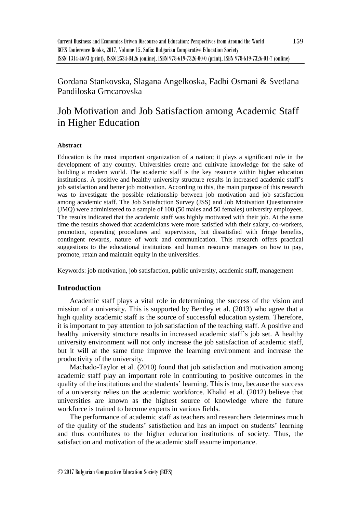Gordana Stankovska, Slagana Angelkoska, Fadbi Osmani & Svetlana Pandiloska Grncarovska

# Job Motivation and Job Satisfaction among Academic Staff in Higher Education

#### **Abstract**

Education is the most important organization of a nation; it plays a significant role in the development of any country. Universities create and cultivate knowledge for the sake of building a modern world. The academic staff is the key resource within higher education institutions. A positive and healthy university structure results in increased academic staff's job satisfaction and better job motivation. According to this, the main purpose of this research was to investigate the possible relationship between job motivation and job satisfaction among academic staff. The Job Satisfaction Survey (JSS) and Job Motivation Questionnaire (JMQ) were administered to a sample of 100 (50 males and 50 females) university employees. The results indicated that the academic staff was highly motivated with their job. At the same time the results showed that academicians were more satisfied with their salary, co-workers, promotion, operating procedures and supervision, but dissatisfied with fringe benefits, contingent rewards, nature of work and communication. This research offers practical suggestions to the educational institutions and human resource managers on how to pay, promote, retain and maintain equity in the universities.

Keywords: job motivation, job satisfaction, public university, academic staff, management

# **Introduction**

Academic staff plays a vital role in determining the success of the vision and mission of a university. This is supported by Bentley et al. (2013) who agree that a high quality academic staff is the source of successful education system. Therefore, it is important to pay attention to job satisfaction of the teaching staff. A positive and healthy university structure results in increased academic staff's job set. A healthy university environment will not only increase the job satisfaction of academic staff, but it will at the same time improve the learning environment and increase the productivity of the university.

Machado-Taylor et al. (2010) found that job satisfaction and motivation among academic staff play an important role in contributing to positive outcomes in the quality of the institutions and the students' learning. This is true, because the success of a university relies on the academic workforce. Khalid et al. (2012) believe that universities are known as the highest source of knowledge where the future workforce is trained to become experts in various fields.

The performance of academic staff as teachers and researchers determines much of the quality of the students' satisfaction and has an impact on students' learning and thus contributes to the higher education institutions of society. Thus, the satisfaction and motivation of the academic staff assume importance.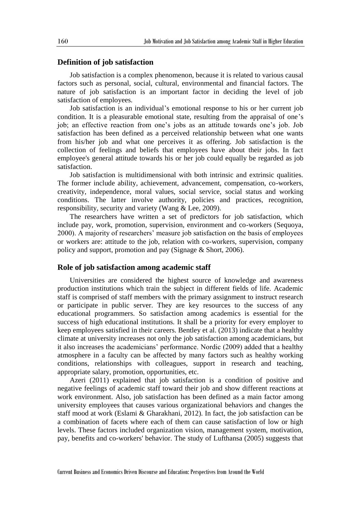#### **Definition of job satisfaction**

Job satisfaction is a complex phenomenon, because it is related to various causal factors such as personal, social, cultural, environmental and financial factors. The nature of job satisfaction is an important factor in deciding the level of job satisfaction of employees.

Job satisfaction is an individual's emotional response to his or her current job condition. It is a pleasurable emotional state, resulting from the appraisal of one's job; an effective reaction from one's jobs as an attitude towards one's job. Job satisfaction has been defined as a perceived relationship between what one wants from his/her job and what one perceives it as offering. Job satisfaction is the collection of feelings and beliefs that employees have about their jobs. In fact employee's general attitude towards his or her job could equally be regarded as job satisfaction.

Job satisfaction is multidimensional with both intrinsic and extrinsic qualities. The former include ability, achievement, advancement, compensation, co-workers, creativity, independence, moral values, social service, social status and working conditions. The latter involve authority, policies and practices, recognition, responsibility, security and variety (Wang & Lee, 2009).

The researchers have written a set of predictors for job satisfaction, which include pay, work, promotion, supervision, environment and co-workers (Sequoya, 2000). A majority of researchers' measure job satisfaction on the basis of employees or workers are: attitude to the job, relation with co-workers, supervision, company policy and support, promotion and pay (Signage & Short, 2006).

# **Role of job satisfaction among academic staff**

Universities are considered the highest source of knowledge and awareness production institutions which train the subject in different fields of life. Academic staff is comprised of staff members with the primary assignment to instruct research or participate in public server. They are key resources to the success of any educational programmers. So satisfaction among academics is essential for the success of high educational institutions. It shall be a priority for every employer to keep employees satisfied in their careers. Bentley et al. (2013) indicate that a healthy climate at university increases not only the job satisfaction among academicians, but it also increases the academicians' performance. Nordic (2009) added that a healthy atmosphere in a faculty can be affected by many factors such as healthy working conditions, relationships with colleagues, support in research and teaching, appropriate salary, promotion, opportunities, etc.

Azeri (2011) explained that job satisfaction is a condition of positive and negative feelings of academic staff toward their job and show different reactions at work environment. Also, job satisfaction has been defined as a main factor among university employees that causes various organizational behaviors and changes the staff mood at work (Eslami & Gharakhani, 2012). In fact, the job satisfaction can be a combination of facets where each of them can cause satisfaction of low or high levels. These factors included organization vision, management system, motivation, pay, benefits and co-workers' behavior. The study of Lufthansa (2005) suggests that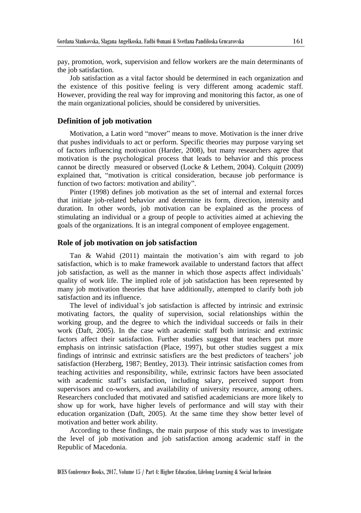pay, promotion, work, supervision and fellow workers are the main determinants of the job satisfaction.

Job satisfaction as a vital factor should be determined in each organization and the existence of this positive feeling is very different among academic staff. However, providing the real way for improving and monitoring this factor, as one of the main organizational policies, should be considered by universities.

#### **Definition of job motivation**

Motivation, a Latin word "mover" means to move. Motivation is the inner drive that pushes individuals to act or perform. Specific theories may purpose varying set of factors influencing motivation (Harder, 2008), but many researchers agree that motivation is the psychological process that leads to behavior and this process cannot be directly measured or observed (Locke & Lethem, 2004). Colquitt (2009) explained that, "motivation is critical consideration, because job performance is function of two factors: motivation and ability".

Pinter (1998) defines job motivation as the set of internal and external forces that initiate job-related behavior and determine its form, direction, intensity and duration. In other words, job motivation can be explained as the process of stimulating an individual or a group of people to activities aimed at achieving the goals of the organizations. It is an integral component of employee engagement.

#### **Role of job motivation on job satisfaction**

Tan & Wahid (2011) maintain the motivation's aim with regard to job satisfaction, which is to make framework available to understand factors that affect job satisfaction, as well as the manner in which those aspects affect individuals' quality of work life. The implied role of job satisfaction has been represented by many job motivation theories that have additionally, attempted to clarify both job satisfaction and its influence.

The level of individual's job satisfaction is affected by intrinsic and extrinsic motivating factors, the quality of supervision, social relationships within the working group, and the degree to which the individual succeeds or fails in their work (Daft, 2005). In the case with academic staff both intrinsic and extrinsic factors affect their satisfaction. Further studies suggest that teachers put more emphasis on intrinsic satisfaction (Place, 1997), but other studies suggest a mix findings of intrinsic and extrinsic satisfiers are the best predictors of teachers' job satisfaction (Herzberg, 1987; Bentley, 2013). Their intrinsic satisfaction comes from teaching activities and responsibility, while, extrinsic factors have been associated with academic staff's satisfaction, including salary, perceived support from supervisors and co-workers, and availability of university resource, among others. Researchers concluded that motivated and satisfied academicians are more likely to show up for work, have higher levels of performance and will stay with their education organization (Daft, 2005). At the same time they show better level of motivation and better work ability.

According to these findings, the main purpose of this study was to investigate the level of job motivation and job satisfaction among academic staff in the Republic of Macedonia.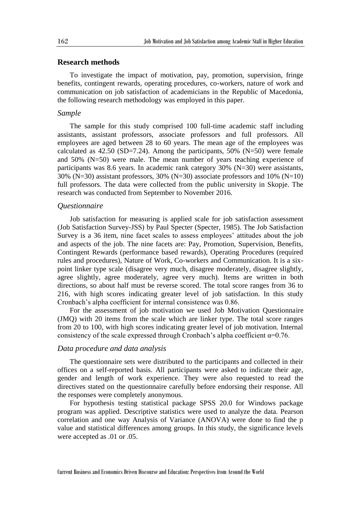# **Research methods**

To investigate the impact of motivation, pay, promotion, supervision, fringe benefits, contingent rewards, operating procedures, co-workers, nature of work and communication on job satisfaction of academicians in the Republic of Macedonia, the following research methodology was employed in this paper.

#### *Sample*

The sample for this study comprised 100 full-time academic staff including assistants, assistant professors, associate professors and full professors. All employees are aged between 28 to 60 years. The mean age of the employees was calculated as  $42.50$  (SD=7.24). Among the participants,  $50\%$  (N=50) were female and 50% (N=50) were male. The mean number of years teaching experience of participants was 8.6 years. In academic rank category 30% (N=30) were assistants, 30% ( $N=30$ ) assistant professors, 30% ( $N=30$ ) associate professors and 10% ( $N=10$ ) full professors. The data were collected from the public university in Skopje. The research was conducted from September to November 2016.

## *Questionnaire*

Job satisfaction for measuring is applied scale for job satisfaction assessment (Job Satisfaction Survey-JSS) by Paul Specter (Specter, 1985). The Job Satisfaction Survey is a 36 item, nine facet scales to assess employees' attitudes about the job and aspects of the job. The nine facets are: Pay, Promotion, Supervision, Benefits, Contingent Rewards (performance based rewards), Operating Procedures (required rules and procedures), Nature of Work, Co-workers and Communication. It is a sixpoint linker type scale (disagree very much, disagree moderately, disagree slightly, agree slightly, agree moderately, agree very much). Items are written in both directions, so about half must be reverse scored. The total score ranges from 36 to 216, with high scores indicating greater level of job satisfaction. In this study Cronbach's alpha coefficient for internal consistence was 0.86.

For the assessment of job motivation we used Job Motivation Questionnaire (JMQ) with 20 items from the scale which are linker type. The total score ranges from 20 to 100, with high scores indicating greater level of job motivation. Internal consistency of the scale expressed through Cronbach's alpha coefficient  $\alpha$ =0.76.

#### *Data procedure and data analysis*

The questionnaire sets were distributed to the participants and collected in their offices on a self-reported basis. All participants were asked to indicate their age, gender and length of work experience. They were also requested to read the directives stated on the questionnaire carefully before endorsing their response. All the responses were completely anonymous.

For hypothesis testing statistical package SPSS 20.0 for Windows package program was applied. Descriptive statistics were used to analyze the data. Pearson correlation and one way Analysis of Variance (ANOVA) were done to find the p value and statistical differences among groups. In this study, the significance levels were accepted as .01 or .05.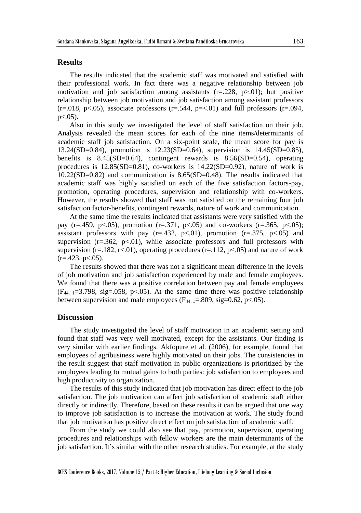## **Results**

The results indicated that the academic staff was motivated and satisfied with their professional work. In fact there was a negative relationship between job motivation and job satisfaction among assistants  $(r=.228, p>.01)$ ; but positive relationship between job motivation and job satisfaction among assistant professors  $(r=.018, p<.05)$ , associate professors  $(r=.544, p=<.01)$  and full professors  $(r=.094, p=<.01)$  $p<.05$ ).

Also in this study we investigated the level of staff satisfaction on their job. Analysis revealed the mean scores for each of the nine items/determinants of academic staff job satisfaction. On a six-point scale, the mean score for pay is 13.24(SD=0.84), promotion is 12.23(SD=0.64), supervision is 14.45(SD=0.85), benefits is  $8.45(SD=0.64)$ , contingent rewards is  $8.56(SD=0.54)$ , operating procedures is  $12.85(SD=0.81)$ , co-workers is  $14.22(SD=0.92)$ , nature of work is 10.22(SD=0.82) and communication is 8.65(SD=0.48). The results indicated that academic staff was highly satisfied on each of the five satisfaction factors-pay, promotion, operating procedures, supervision and relationship with co-workers. However, the results showed that staff was not satisfied on the remaining four job satisfaction factor-benefits, contingent rewards, nature of work and communication.

At the same time the results indicated that assistants were very satisfied with the pay (r=.459, p<.05), promotion (r=.371, p<.05) and co-workers (r=.365, p<.05); assistant professors with pay  $(r=.432, p<.01)$ , promotion  $(r=.375, p<.05)$  and supervision  $(r=.362, p<.01)$ , while associate professors and full professors with supervision ( $r=182$ ,  $r<.01$ ), operating procedures ( $r=112$ ,  $p<.05$ ) and nature of work  $(r=.423, p<.05).$ 

The results showed that there was not a significant mean difference in the levels of job motivation and job satisfaction experienced by male and female employees. We found that there was a positive correlation between pay and female employees  $(F_{44,1}=3.798, \text{sig}=0.058, \text{p}<-0.05)$ . At the same time there was positive relationship between supervision and male employees  $(F_{44, 1} = .809, sig = 0.62, p < .05)$ .

#### **Discussion**

The study investigated the level of staff motivation in an academic setting and found that staff was very well motivated, except for the assistants. Our finding is very similar with earlier findings. Akfopure et al. (2006), for example, found that employees of agribusiness were highly motivated on their jobs. The consistencies in the result suggest that staff motivation in public organizations is prioritized by the employees leading to mutual gains to both parties: job satisfaction to employees and high productivity to organization.

The results of this study indicated that job motivation has direct effect to the job satisfaction. The job motivation can affect job satisfaction of academic staff either directly or indirectly. Therefore, based on these results it can be argued that one way to improve job satisfaction is to increase the motivation at work. The study found that job motivation has positive direct effect on job satisfaction of academic staff.

From the study we could also see that pay, promotion, supervision, operating procedures and relationships with fellow workers are the main determinants of the job satisfaction. It's similar with the other research studies. For example, at the study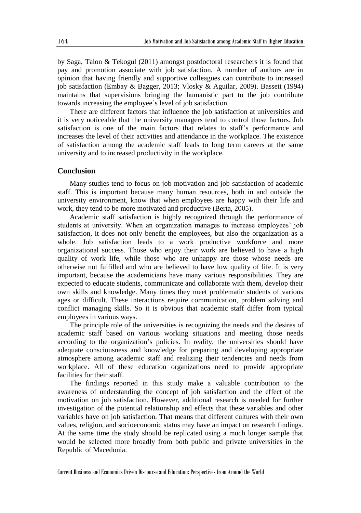by Saga, Talon & Tekogul (2011) amongst postdoctoral researchers it is found that pay and promotion associate with job satisfaction. A number of authors are in opinion that having friendly and supportive colleagues can contribute to increased job satisfaction (Embay & Bagger, 2013; Vlosky & Aguilar, 2009). Bassett (1994) maintains that supervisions bringing the humanistic part to the job contribute towards increasing the employee's level of job satisfaction.

There are different factors that influence the job satisfaction at universities and it is very noticeable that the university managers tend to control those factors. Job satisfaction is one of the main factors that relates to staff's performance and increases the level of their activities and attendance in the workplace. The existence of satisfaction among the academic staff leads to long term careers at the same university and to increased productivity in the workplace.

## **Conclusion**

Many studies tend to focus on job motivation and job satisfaction of academic staff. This is important because many human resources, both in and outside the university environment, know that when employees are happy with their life and work, they tend to be more motivated and productive (Berta, 2005).

Academic staff satisfaction is highly recognized through the performance of students at university. When an organization manages to increase employees' job satisfaction, it does not only benefit the employees, but also the organization as a whole. Job satisfaction leads to a work productive workforce and more organizational success. Those who enjoy their work are believed to have a high quality of work life, while those who are unhappy are those whose needs are otherwise not fulfilled and who are believed to have low quality of life. It is very important, because the academicians have many various responsibilities. They are expected to educate students, communicate and collaborate with them, develop their own skills and knowledge. Many times they meet problematic students of various ages or difficult. These interactions require communication, problem solving and conflict managing skills. So it is obvious that academic staff differ from typical employees in various ways.

The principle role of the universities is recognizing the needs and the desires of academic staff based on various working situations and meeting those needs according to the organization's policies. In reality, the universities should have adequate consciousness and knowledge for preparing and developing appropriate atmosphere among academic staff and realizing their tendencies and needs from workplace. All of these education organizations need to provide appropriate facilities for their staff.

The findings reported in this study make a valuable contribution to the awareness of understanding the concept of job satisfaction and the effect of the motivation on job satisfaction. However, additional research is needed for further investigation of the potential relationship and effects that these variables and other variables have on job satisfaction. That means that different cultures with their own values, religion, and socioeconomic status may have an impact on research findings. At the same time the study should be replicated using a much longer sample that would be selected more broadly from both public and private universities in the Republic of Macedonia.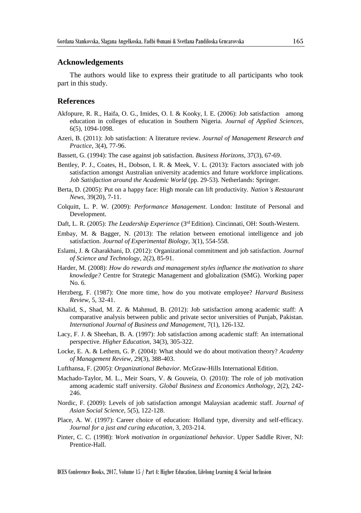## **Acknowledgements**

The authors would like to express their gratitude to all participants who took part in this study.

## **References**

- Akfopure, R. R., Haifa, O. G., Imides, O. I. & Kooky, I. E. (2006): Job satisfaction among education in colleges of education in Southern Nigeria. *Journal of Applied Sciences*, 6(5), 1094-1098.
- Azeri, B. (2011): Job satisfaction: A literature review. *Journal of Management Research and Practice*, 3(4), 77-96.
- Bassett, G. (1994): The case against job satisfaction. *Business Horizons*, 37(3), 67-69.
- Bentley, P. J., Coates, H., Dobson, I. R. & Meek, V. L. (2013): Factors associated with job satisfaction amongst Australian university academics and future workforce implications. *Job Satisfaction around the Academic World* (pp. 29-53). Netherlands: Springer.
- Berta, D. (2005): Put on a happy face: High morale can lift productivity. *Nation's Restaurant News,* 39(20), 7-11.
- Colquitt, L. P. W. (2009): *Performance Management*. London: Institute of Personal and Development.
- Daft, L. R. (2005): *The Leadership Experience* (3rd Edition). Cincinnati, OH: South-Western.
- Embay, M. & Bagger, N. (2013): The relation between emotional intelligence and job satisfaction. *Journal of Experimental Biology*, 3(1), 554-558.
- Eslami, J. & Gharakhani, D. (2012): Organizational commitment and job satisfaction. *Journal of Science and Technology*, 2(2), 85-91.
- Harder, M. (2008): *How do rewards and management styles influence the motivation to share knowledge?* Centre for Strategic Management and globalization (SMG). Working paper No. 6.
- Herzberg, F. (1987): One more time, how do you motivate employee? *Harvard Business Review*, 5, 32-41.
- Khalid, S., Shad, M. Z. & Mahmud, B. (2012): Job satisfaction among academic staff: A comparative analysis between public and private sector universities of Punjab, Pakistan. *International Journal of Business and Management*, 7(1), 126-132.
- Lacy, F. J. & Sheehan, B. A. (1997): Job satisfaction among academic staff: An international perspective. *Higher Education*, 34(3), 305-322.
- Locke, E. A. & Lethem, G. P. (2004): What should we do about motivation theory? *Academy of Management Review*, 29(3), 388-403.
- Lufthansa, F. (2005): *Organizational Behavior.* McGraw-Hills International Edition.
- Machado-Taylor, M. L., Meir Soars, V. & Gouveia, O. (2010): The role of job motivation among academic staff university. *Global Business and Economics Anthology*, 2(2), 242- 246.
- Nordic, F. (2009): Levels of job satisfaction amongst Malaysian academic staff. *Journal of Asian Social Science*, 5(5), 122-128.
- Place, A. W. (1997): Career choice of education: Holland type, diversity and self-efficacy. *Journal for a just and curing education*, 3, 203-214.
- Pinter, C. C. (1998): *Work motivation in organizational behavior*. Upper Saddle River, NJ: Prentice-Hall.

BCES Conference Books, 2017, Volume 15 / Part 4: Higher Education, Lifelong Learning & Social Inclusion